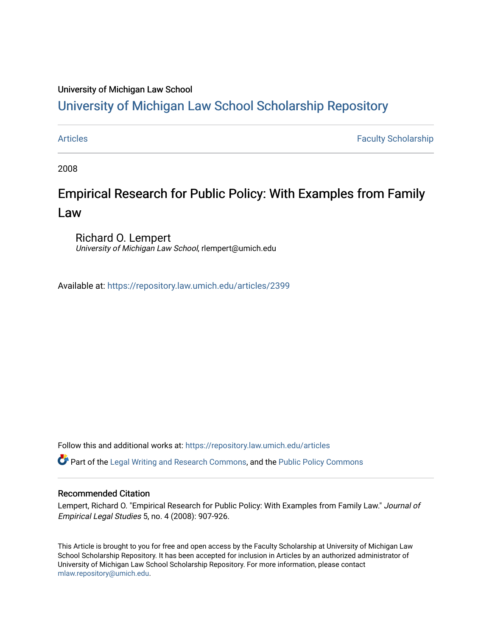## University of Michigan Law School

# [University of Michigan Law School Scholarship Repository](https://repository.law.umich.edu/)

[Articles](https://repository.law.umich.edu/articles) **Faculty Scholarship** Faculty Scholarship

2008

# Empirical Research for Public Policy: With Examples from Family Law

Richard O. Lempert University of Michigan Law School, rlempert@umich.edu

Available at: <https://repository.law.umich.edu/articles/2399>

Follow this and additional works at: [https://repository.law.umich.edu/articles](https://repository.law.umich.edu/articles?utm_source=repository.law.umich.edu%2Farticles%2F2399&utm_medium=PDF&utm_campaign=PDFCoverPages) 

Part of the [Legal Writing and Research Commons,](http://network.bepress.com/hgg/discipline/614?utm_source=repository.law.umich.edu%2Farticles%2F2399&utm_medium=PDF&utm_campaign=PDFCoverPages) and the [Public Policy Commons](http://network.bepress.com/hgg/discipline/400?utm_source=repository.law.umich.edu%2Farticles%2F2399&utm_medium=PDF&utm_campaign=PDFCoverPages)

### Recommended Citation

Lempert, Richard O. "Empirical Research for Public Policy: With Examples from Family Law." Journal of Empirical Legal Studies 5, no. 4 (2008): 907-926.

This Article is brought to you for free and open access by the Faculty Scholarship at University of Michigan Law School Scholarship Repository. It has been accepted for inclusion in Articles by an authorized administrator of University of Michigan Law School Scholarship Repository. For more information, please contact [mlaw.repository@umich.edu.](mailto:mlaw.repository@umich.edu)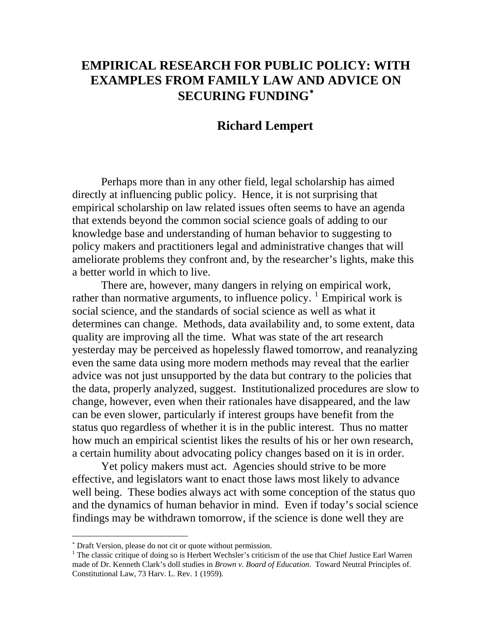# **EMPIRICAL RESEARCH FOR PUBLIC POLICY: WITH EXAMPLES FROM FAMILY LAW AND ADVICE ON SECURING FUNDING**[∗](#page-1-0)

## **Richard Lempert**

Perhaps more than in any other field, legal scholarship has aimed directly at influencing public policy. Hence, it is not surprising that empirical scholarship on law related issues often seems to have an agenda that extends beyond the common social science goals of adding to our knowledge base and understanding of human behavior to suggesting to policy makers and practitioners legal and administrative changes that will ameliorate problems they confront and, by the researcher's lights, make this a better world in which to live.

There are, however, many dangers in relying on empirical work, rather than normative arguments, to influence policy.  $\frac{1}{1}$  $\frac{1}{1}$  $\frac{1}{1}$  Empirical work is social science, and the standards of social science as well as what it determines can change. Methods, data availability and, to some extent, data quality are improving all the time. What was state of the art research yesterday may be perceived as hopelessly flawed tomorrow, and reanalyzing even the same data using more modern methods may reveal that the earlier advice was not just unsupported by the data but contrary to the policies that the data, properly analyzed, suggest. Institutionalized procedures are slow to change, however, even when their rationales have disappeared, and the law can be even slower, particularly if interest groups have benefit from the status quo regardless of whether it is in the public interest. Thus no matter how much an empirical scientist likes the results of his or her own research, a certain humility about advocating policy changes based on it is in order.

Yet policy makers must act. Agencies should strive to be more effective, and legislators want to enact those laws most likely to advance well being. These bodies always act with some conception of the status quo and the dynamics of human behavior in mind. Even if today's social science findings may be withdrawn tomorrow, if the science is done well they are

<span id="page-1-0"></span><sup>∗</sup> Draft Version, please do not cit or quote without permission.

<span id="page-1-1"></span><sup>&</sup>lt;sup>1</sup> The classic critique of doing so is Herbert Wechsler's criticism of the use that Chief Justice Earl Warren made of Dr. Kenneth Clark's doll studies in *Brown v. Board of Education*. Toward Neutral Principles of. Constitutional Law, 73 Harv. L. Rev. 1 (1959).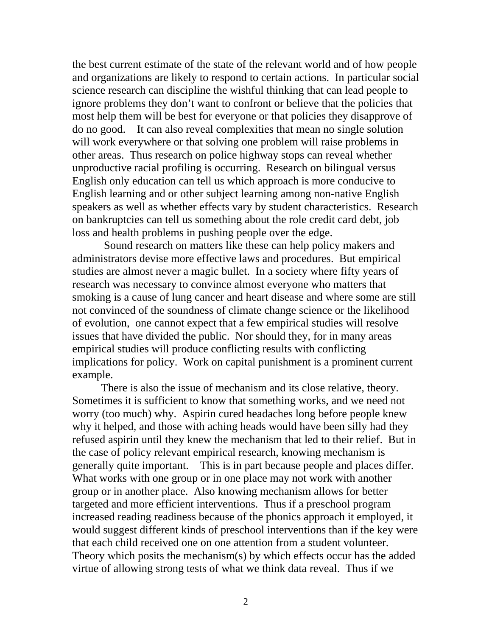the best current estimate of the state of the relevant world and of how people and organizations are likely to respond to certain actions. In particular social science research can discipline the wishful thinking that can lead people to ignore problems they don't want to confront or believe that the policies that most help them will be best for everyone or that policies they disapprove of do no good. It can also reveal complexities that mean no single solution will work everywhere or that solving one problem will raise problems in other areas. Thus research on police highway stops can reveal whether unproductive racial profiling is occurring. Research on bilingual versus English only education can tell us which approach is more conducive to English learning and or other subject learning among non-native English speakers as well as whether effects vary by student characteristics. Research on bankruptcies can tell us something about the role credit card debt, job loss and health problems in pushing people over the edge.

 Sound research on matters like these can help policy makers and administrators devise more effective laws and procedures. But empirical studies are almost never a magic bullet. In a society where fifty years of research was necessary to convince almost everyone who matters that smoking is a cause of lung cancer and heart disease and where some are still not convinced of the soundness of climate change science or the likelihood of evolution, one cannot expect that a few empirical studies will resolve issues that have divided the public. Nor should they, for in many areas empirical studies will produce conflicting results with conflicting implications for policy. Work on capital punishment is a prominent current example.

There is also the issue of mechanism and its close relative, theory. Sometimes it is sufficient to know that something works, and we need not worry (too much) why. Aspirin cured headaches long before people knew why it helped, and those with aching heads would have been silly had they refused aspirin until they knew the mechanism that led to their relief. But in the case of policy relevant empirical research, knowing mechanism is generally quite important. This is in part because people and places differ. What works with one group or in one place may not work with another group or in another place. Also knowing mechanism allows for better targeted and more efficient interventions. Thus if a preschool program increased reading readiness because of the phonics approach it employed, it would suggest different kinds of preschool interventions than if the key were that each child received one on one attention from a student volunteer. Theory which posits the mechanism(s) by which effects occur has the added virtue of allowing strong tests of what we think data reveal. Thus if we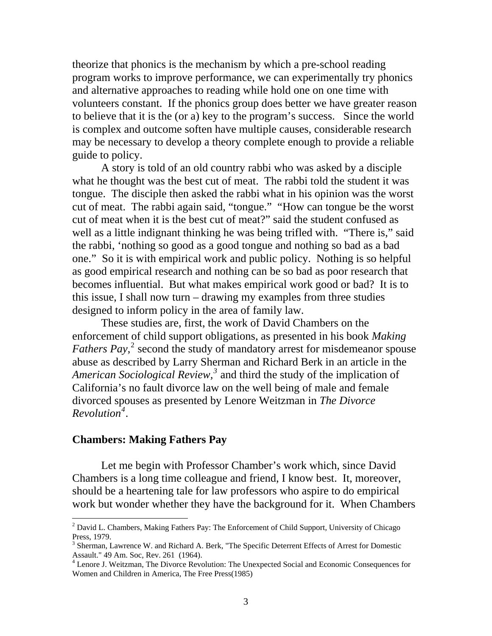theorize that phonics is the mechanism by which a pre-school reading program works to improve performance, we can experimentally try phonics and alternative approaches to reading while hold one on one time with volunteers constant. If the phonics group does better we have greater reason to believe that it is the (or a) key to the program's success. Since the world is complex and outcome soften have multiple causes, considerable research may be necessary to develop a theory complete enough to provide a reliable guide to policy.

A story is told of an old country rabbi who was asked by a disciple what he thought was the best cut of meat. The rabbi told the student it was tongue. The disciple then asked the rabbi what in his opinion was the worst cut of meat. The rabbi again said, "tongue." "How can tongue be the worst cut of meat when it is the best cut of meat?" said the student confused as well as a little indignant thinking he was being trifled with. "There is," said the rabbi, 'nothing so good as a good tongue and nothing so bad as a bad one." So it is with empirical work and public policy. Nothing is so helpful as good empirical research and nothing can be so bad as poor research that becomes influential. But what makes empirical work good or bad? It is to this issue, I shall now turn – drawing my examples from three studies designed to inform policy in the area of family law.

These studies are, first, the work of David Chambers on the enforcement of child support obligations, as presented in his book *Making*  Fathers Pay,<sup>[2](#page-3-0)</sup> second the study of mandatory arrest for misdemeanor spouse abuse as described by Larry Sherman and Richard Berk in an article in the American Sociological Review,<sup>[3](#page-3-1)</sup> and third the study of the implication of California's no fault divorce law on the well being of male and female divorced spouses as presented by Lenore Weitzman in *The Divorce Revolution[4](#page-3-2)* .

## **Chambers: Making Fathers Pay**

Let me begin with Professor Chamber's work which, since David Chambers is a long time colleague and friend, I know best. It, moreover, should be a heartening tale for law professors who aspire to do empirical work but wonder whether they have the background for it. When Chambers

<span id="page-3-0"></span><sup>2</sup> David L. Chambers, Making Fathers Pay: The Enforcement of Child Support*,* University of Chicago Press, 1979.

<span id="page-3-1"></span><sup>&</sup>lt;sup>3</sup> Sherman, Lawrence W. and Richard A. Berk, "The Specific Deterrent Effects of Arrest for Domestic Assault." 49 Am. Soc, Rev. 261 (1964).

<span id="page-3-2"></span><sup>&</sup>lt;sup>4</sup> Lenore J. Weitzman, The Divorce Revolution: The Unexpected Social and Economic Consequences for Women and Children in America, The Free Press(1985)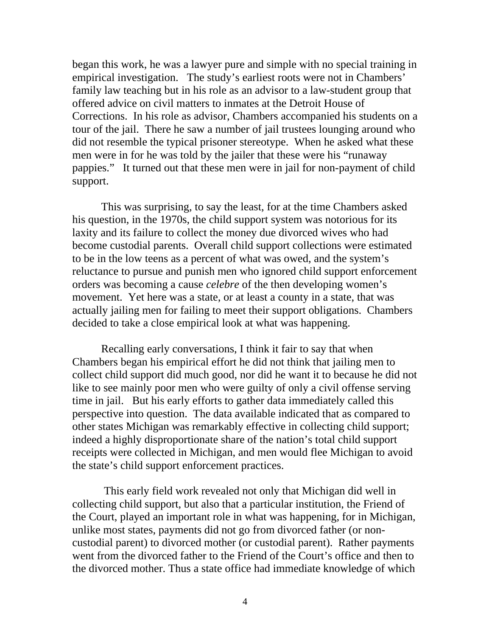began this work, he was a lawyer pure and simple with no special training in empirical investigation. The study's earliest roots were not in Chambers' family law teaching but in his role as an advisor to a law-student group that offered advice on civil matters to inmates at the Detroit House of Corrections. In his role as advisor, Chambers accompanied his students on a tour of the jail. There he saw a number of jail trustees lounging around who did not resemble the typical prisoner stereotype. When he asked what these men were in for he was told by the jailer that these were his "runaway pappies." It turned out that these men were in jail for non-payment of child support.

This was surprising, to say the least, for at the time Chambers asked his question, in the 1970s, the child support system was notorious for its laxity and its failure to collect the money due divorced wives who had become custodial parents. Overall child support collections were estimated to be in the low teens as a percent of what was owed, and the system's reluctance to pursue and punish men who ignored child support enforcement orders was becoming a cause *celebre* of the then developing women's movement. Yet here was a state, or at least a county in a state, that was actually jailing men for failing to meet their support obligations. Chambers decided to take a close empirical look at what was happening.

Recalling early conversations, I think it fair to say that when Chambers began his empirical effort he did not think that jailing men to collect child support did much good, nor did he want it to because he did not like to see mainly poor men who were guilty of only a civil offense serving time in jail. But his early efforts to gather data immediately called this perspective into question. The data available indicated that as compared to other states Michigan was remarkably effective in collecting child support; indeed a highly disproportionate share of the nation's total child support receipts were collected in Michigan, and men would flee Michigan to avoid the state's child support enforcement practices.

This early field work revealed not only that Michigan did well in collecting child support, but also that a particular institution, the Friend of the Court, played an important role in what was happening, for in Michigan, unlike most states, payments did not go from divorced father (or noncustodial parent) to divorced mother (or custodial parent). Rather payments went from the divorced father to the Friend of the Court's office and then to the divorced mother. Thus a state office had immediate knowledge of which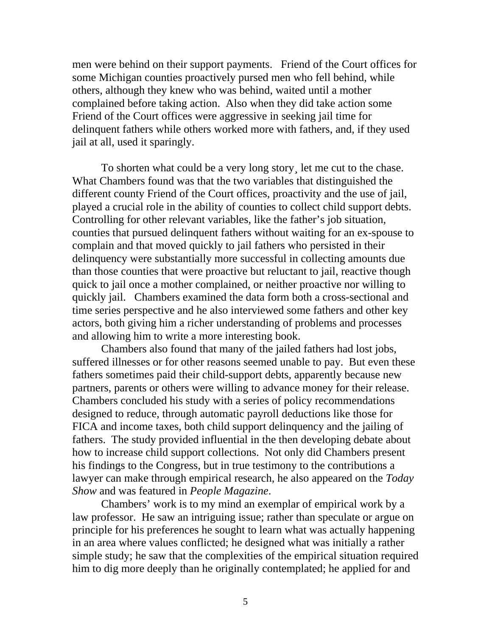men were behind on their support payments. Friend of the Court offices for some Michigan counties proactively pursed men who fell behind, while others, although they knew who was behind, waited until a mother complained before taking action. Also when they did take action some Friend of the Court offices were aggressive in seeking jail time for delinquent fathers while others worked more with fathers, and, if they used jail at all, used it sparingly.

To shorten what could be a very long story, let me cut to the chase. What Chambers found was that the two variables that distinguished the different county Friend of the Court offices, proactivity and the use of jail, played a crucial role in the ability of counties to collect child support debts. Controlling for other relevant variables, like the father's job situation, counties that pursued delinquent fathers without waiting for an ex-spouse to complain and that moved quickly to jail fathers who persisted in their delinquency were substantially more successful in collecting amounts due than those counties that were proactive but reluctant to jail, reactive though quick to jail once a mother complained, or neither proactive nor willing to quickly jail. Chambers examined the data form both a cross-sectional and time series perspective and he also interviewed some fathers and other key actors, both giving him a richer understanding of problems and processes and allowing him to write a more interesting book.

Chambers also found that many of the jailed fathers had lost jobs, suffered illnesses or for other reasons seemed unable to pay. But even these fathers sometimes paid their child-support debts, apparently because new partners, parents or others were willing to advance money for their release. Chambers concluded his study with a series of policy recommendations designed to reduce, through automatic payroll deductions like those for FICA and income taxes, both child support delinquency and the jailing of fathers. The study provided influential in the then developing debate about how to increase child support collections. Not only did Chambers present his findings to the Congress, but in true testimony to the contributions a lawyer can make through empirical research, he also appeared on the *Today Show* and was featured in *People Magazine*.

Chambers' work is to my mind an exemplar of empirical work by a law professor. He saw an intriguing issue; rather than speculate or argue on principle for his preferences he sought to learn what was actually happening in an area where values conflicted; he designed what was initially a rather simple study; he saw that the complexities of the empirical situation required him to dig more deeply than he originally contemplated; he applied for and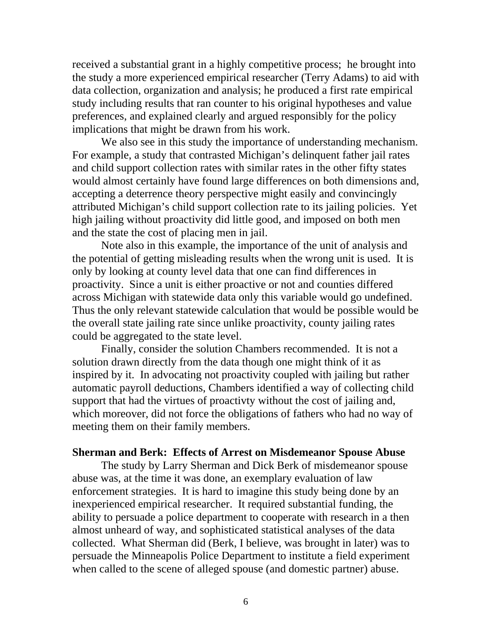received a substantial grant in a highly competitive process; he brought into the study a more experienced empirical researcher (Terry Adams) to aid with data collection, organization and analysis; he produced a first rate empirical study including results that ran counter to his original hypotheses and value preferences, and explained clearly and argued responsibly for the policy implications that might be drawn from his work.

We also see in this study the importance of understanding mechanism. For example, a study that contrasted Michigan's delinquent father jail rates and child support collection rates with similar rates in the other fifty states would almost certainly have found large differences on both dimensions and, accepting a deterrence theory perspective might easily and convincingly attributed Michigan's child support collection rate to its jailing policies. Yet high jailing without proactivity did little good, and imposed on both men and the state the cost of placing men in jail.

Note also in this example, the importance of the unit of analysis and the potential of getting misleading results when the wrong unit is used. It is only by looking at county level data that one can find differences in proactivity. Since a unit is either proactive or not and counties differed across Michigan with statewide data only this variable would go undefined. Thus the only relevant statewide calculation that would be possible would be the overall state jailing rate since unlike proactivity, county jailing rates could be aggregated to the state level.

Finally, consider the solution Chambers recommended. It is not a solution drawn directly from the data though one might think of it as inspired by it. In advocating not proactivity coupled with jailing but rather automatic payroll deductions, Chambers identified a way of collecting child support that had the virtues of proactivty without the cost of jailing and, which moreover, did not force the obligations of fathers who had no way of meeting them on their family members.

## **Sherman and Berk: Effects of Arrest on Misdemeanor Spouse Abuse**

The study by Larry Sherman and Dick Berk of misdemeanor spouse abuse was, at the time it was done, an exemplary evaluation of law enforcement strategies. It is hard to imagine this study being done by an inexperienced empirical researcher. It required substantial funding, the ability to persuade a police department to cooperate with research in a then almost unheard of way, and sophisticated statistical analyses of the data collected. What Sherman did (Berk, I believe, was brought in later) was to persuade the Minneapolis Police Department to institute a field experiment when called to the scene of alleged spouse (and domestic partner) abuse.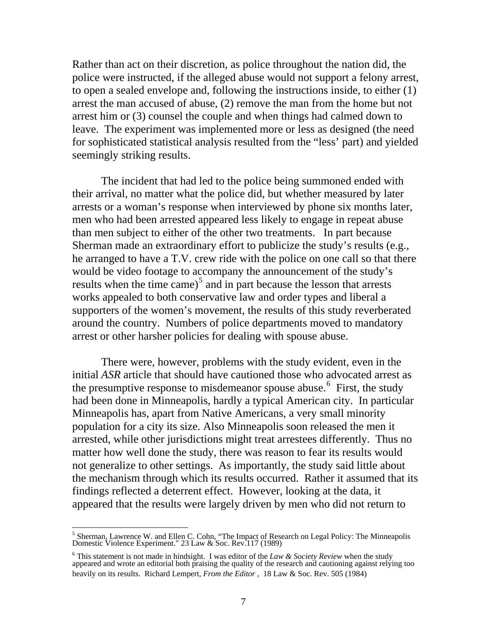Rather than act on their discretion, as police throughout the nation did, the police were instructed, if the alleged abuse would not support a felony arrest, to open a sealed envelope and, following the instructions inside, to either (1) arrest the man accused of abuse, (2) remove the man from the home but not arrest him or (3) counsel the couple and when things had calmed down to leave. The experiment was implemented more or less as designed (the need for sophisticated statistical analysis resulted from the "less' part) and yielded seemingly striking results.

The incident that had led to the police being summoned ended with their arrival, no matter what the police did, but whether measured by later arrests or a woman's response when interviewed by phone six months later, men who had been arrested appeared less likely to engage in repeat abuse than men subject to either of the other two treatments. In part because Sherman made an extraordinary effort to publicize the study's results (e.g., he arranged to have a T.V. crew ride with the police on one call so that there would be video footage to accompany the announcement of the study's results when the time came)<sup>[5](#page-7-0)</sup> and in part because the lesson that arrests works appealed to both conservative law and order types and liberal a supporters of the women's movement, the results of this study reverberated around the country. Numbers of police departments moved to mandatory arrest or other harsher policies for dealing with spouse abuse.

There were, however, problems with the study evident, even in the initial *ASR* article that should have cautioned those who advocated arrest as the presumptive response to misdemeanor spouse abuse.  $6$  First, the study had been done in Minneapolis, hardly a typical American city. In particular Minneapolis has, apart from Native Americans, a very small minority population for a city its size. Also Minneapolis soon released the men it arrested, while other jurisdictions might treat arrestees differently. Thus no matter how well done the study, there was reason to fear its results would not generalize to other settings. As importantly, the study said little about the mechanism through which its results occurred. Rather it assumed that its findings reflected a deterrent effect. However, looking at the data, it appeared that the results were largely driven by men who did not return to

<span id="page-7-0"></span><sup>&</sup>lt;sup>5</sup> Sherman, Lawrence W. and Ellen C. Cohn, "The Impact of Research on Legal Policy: The Minneapolis Domestic Violence Experiment." 23 Law & Soc. Rev.117 (1989)

<span id="page-7-1"></span><sup>6</sup> This statement is not made in hindsight. I was editor of the *Law & Society Review* when the study appeared and wrote an editorial both praising the quality of the research and cautioning against relying too heavily on its results. Richard Lempert, *From the Editor* , 18 Law & Soc. Rev. 505 (1984)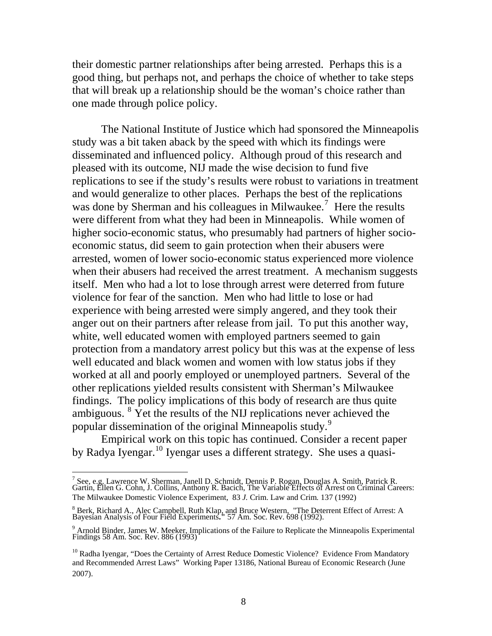their domestic partner relationships after being arrested. Perhaps this is a good thing, but perhaps not, and perhaps the choice of whether to take steps that will break up a relationship should be the woman's choice rather than one made through police policy.

The National Institute of Justice which had sponsored the Minneapolis study was a bit taken aback by the speed with which its findings were disseminated and influenced policy. Although proud of this research and pleased with its outcome, NIJ made the wise decision to fund five replications to see if the study's results were robust to variations in treatment and would generalize to other places. Perhaps the best of the replications was done by Sherman and his colleagues in Milwaukee.<sup>[7](#page-8-0)</sup> Here the results were different from what they had been in Minneapolis. While women of higher socio-economic status, who presumably had partners of higher socioeconomic status, did seem to gain protection when their abusers were arrested, women of lower socio-economic status experienced more violence when their abusers had received the arrest treatment. A mechanism suggests itself. Men who had a lot to lose through arrest were deterred from future violence for fear of the sanction. Men who had little to lose or had experience with being arrested were simply angered, and they took their anger out on their partners after release from jail. To put this another way, white, well educated women with employed partners seemed to gain protection from a mandatory arrest policy but this was at the expense of less well educated and black women and women with low status jobs if they worked at all and poorly employed or unemployed partners. Several of the other replications yielded results consistent with Sherman's Milwaukee findings. The policy implications of this body of research are thus quite ambiguous.  $8 \text{ Yet}$  $8 \text{ Yet}$  the results of the NIJ replications never [a](#page-8-2)chieved the popular dissemination of the original Minneapolis study.<sup>[9](#page-8-2)</sup>

Empirical work on this topic has continued. Consider a recent paper by Radya Iyengar.[10](#page-8-3) Iyengar uses a different strategy. She uses a quasi-

<span id="page-8-0"></span><sup>&</sup>lt;sup>7</sup> See, e.g. Lawrence W. Sherman, Janell D. Schmidt, Dennis P. Rogan, Douglas A. Smith, Patrick R.<br>Gartin, Ellen G. Cohn, J. Collins, Anthony R. Bacich, The Variable Effects of Arrest on Criminal Careers: The Milwaukee Domestic Violence Experiment, 83 *J.* Crim. Law and Crim*.* 137 (1992)

<span id="page-8-1"></span><sup>8</sup> Berk, Richard A., Alec Campbell, Ruth Klap, and Bruce Western, "The Deterrent Effect of Arrest: A Bayesian Analysis of Four Field Experiments**."** 57 Am. Soc. Rev. 698 (1992).

<span id="page-8-2"></span><sup>9</sup> Arnold Binder, James W. Meeker, Implications of the Failure to Replicate the Minneapolis Experimental Findings 58 Am. Soc. Rev. 886 (1993)

<span id="page-8-3"></span><sup>&</sup>lt;sup>10</sup> Radha Iyengar, "Does the Certainty of Arrest Reduce Domestic Violence? Evidence From Mandatory and Recommended Arrest Laws" Working Paper 13186, National Bureau of Economic Research (June 2007).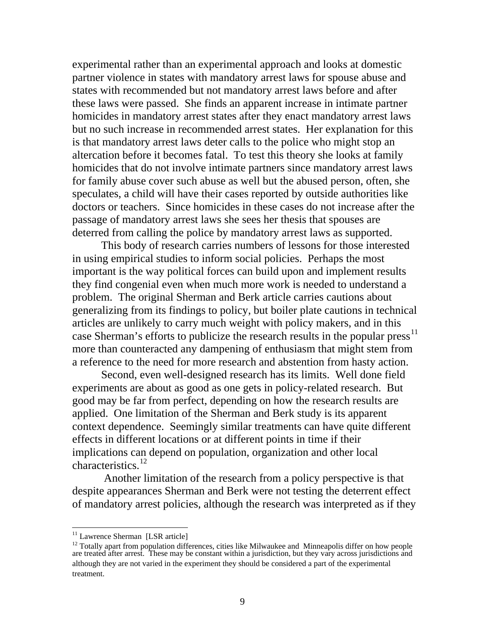experimental rather than an experimental approach and looks at domestic partner violence in states with mandatory arrest laws for spouse abuse and states with recommended but not mandatory arrest laws before and after these laws were passed. She finds an apparent increase in intimate partner homicides in mandatory arrest states after they enact mandatory arrest laws but no such increase in recommended arrest states. Her explanation for this is that mandatory arrest laws deter calls to the police who might stop an altercation before it becomes fatal. To test this theory she looks at family homicides that do not involve intimate partners since mandatory arrest laws for family abuse cover such abuse as well but the abused person, often, she speculates, a child will have their cases reported by outside authorities like doctors or teachers. Since homicides in these cases do not increase after the passage of mandatory arrest laws she sees her thesis that spouses are deterred from calling the police by mandatory arrest laws as supported.

This body of research carries numbers of lessons for those interested in using empirical studies to inform social policies. Perhaps the most important is the way political forces can build upon and implement results they find congenial even when much more work is needed to understand a problem. The original Sherman and Berk article carries cautions about generalizing from its findings to policy, but boiler plate cautions in technical articles are unlikely to carry much weight with policy makers, and in this case Sherman's efforts to publicize the research results in the popular press<sup>[11](#page-9-0)</sup> more than counteracted any dampening of enthusiasm that might stem from a reference to the need for more research and abstention from hasty action.

Second, even well-designed research has its limits. Well done field experiments are about as good as one gets in policy-related research. But good may be far from perfect, depending on how the research results are applied. One limitation of the Sherman and Berk study is its apparent context dependence. Seemingly similar treatments can have quite different effects in different locations or at different points in time if their implications can depend on population, organization and other local characteristics.<sup>[12](#page-9-1)</sup>

 Another limitation of the research from a policy perspective is that despite appearances Sherman and Berk were not testing the deterrent effect of mandatory arrest policies, although the research was interpreted as if they

<span id="page-9-0"></span><sup>&</sup>lt;sup>11</sup> Lawrence Sherman [LSR article]

<span id="page-9-1"></span> $12$  Totally apart from population differences, cities like Milwaukee and Minneapolis differ on how people are treated after arrest. These may be constant within a jurisdiction, but they vary across jurisdictions and although they are not varied in the experiment they should be considered a part of the experimental treatment.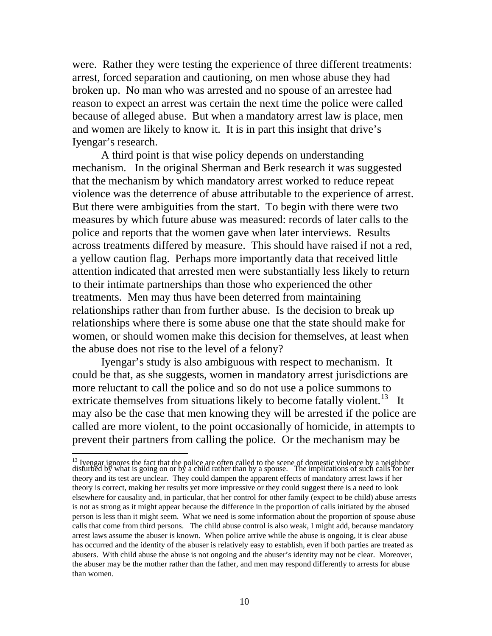were. Rather they were testing the experience of three different treatments: arrest, forced separation and cautioning, on men whose abuse they had broken up. No man who was arrested and no spouse of an arrestee had reason to expect an arrest was certain the next time the police were called because of alleged abuse. But when a mandatory arrest law is place, men and women are likely to know it. It is in part this insight that drive's Iyengar's research.

A third point is that wise policy depends on understanding mechanism. In the original Sherman and Berk research it was suggested that the mechanism by which mandatory arrest worked to reduce repeat violence was the deterrence of abuse attributable to the experience of arrest. But there were ambiguities from the start. To begin with there were two measures by which future abuse was measured: records of later calls to the police and reports that the women gave when later interviews. Results across treatments differed by measure. This should have raised if not a red, a yellow caution flag. Perhaps more importantly data that received little attention indicated that arrested men were substantially less likely to return to their intimate partnerships than those who experienced the other treatments. Men may thus have been deterred from maintaining relationships rather than from further abuse. Is the decision to break up relationships where there is some abuse one that the state should make for women, or should women make this decision for themselves, at least when the abuse does not rise to the level of a felony?

Iyengar's study is also ambiguous with respect to mechanism. It could be that, as she suggests, women in mandatory arrest jurisdictions are more reluctant to call the police and so do not use a police summons to extricate themselves from situations likely to become fatally violent.<sup>[13](#page-10-0)</sup> It may also be the case that men knowing they will be arrested if the police are called are more violent, to the point occasionally of homicide, in attempts to prevent their partners from calling the police. Or the mechanism may be

<span id="page-10-0"></span><sup>&</sup>lt;sup>13</sup> Iyengar ignores the fact that the police are often called to the scene of domestic violence by a neighbor disturbed by what is going on or by a child rather than by a spouse. The implications of such calls for her theory and its test are unclear. They could dampen the apparent effects of mandatory arrest laws if her theory is correct, making her results yet more impressive or they could suggest there is a need to look elsewhere for causality and, in particular, that her control for other family (expect to be child) abuse arrests is not as strong as it might appear because the difference in the proportion of calls initiated by the abused person is less than it might seem. What we need is some information about the proportion of spouse abuse calls that come from third persons. The child abuse control is also weak, I might add, because mandatory arrest laws assume the abuser is known. When police arrive while the abuse is ongoing, it is clear abuse has occurred and the identity of the abuser is relatively easy to establish, even if both parties are treated as abusers. With child abuse the abuse is not ongoing and the abuser's identity may not be clear. Moreover, the abuser may be the mother rather than the father, and men may respond differently to arrests for abuse than women.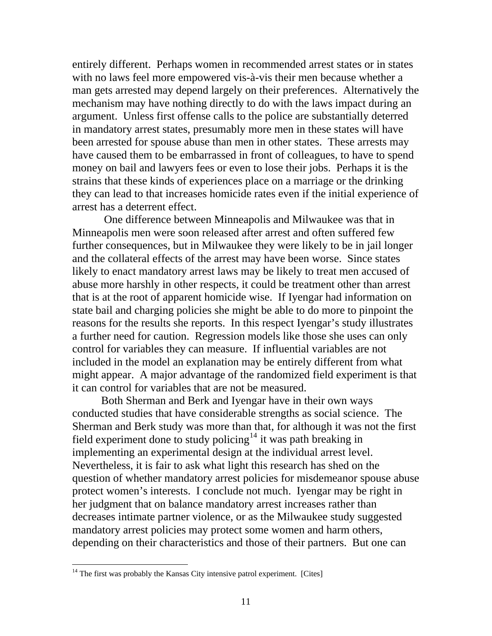entirely different. Perhaps women in recommended arrest states or in states with no laws feel more empowered vis-à-vis their men because whether a man gets arrested may depend largely on their preferences. Alternatively the mechanism may have nothing directly to do with the laws impact during an argument. Unless first offense calls to the police are substantially deterred in mandatory arrest states, presumably more men in these states will have been arrested for spouse abuse than men in other states. These arrests may have caused them to be embarrassed in front of colleagues, to have to spend money on bail and lawyers fees or even to lose their jobs. Perhaps it is the strains that these kinds of experiences place on a marriage or the drinking they can lead to that increases homicide rates even if the initial experience of arrest has a deterrent effect.

 One difference between Minneapolis and Milwaukee was that in Minneapolis men were soon released after arrest and often suffered few further consequences, but in Milwaukee they were likely to be in jail longer and the collateral effects of the arrest may have been worse. Since states likely to enact mandatory arrest laws may be likely to treat men accused of abuse more harshly in other respects, it could be treatment other than arrest that is at the root of apparent homicide wise. If Iyengar had information on state bail and charging policies she might be able to do more to pinpoint the reasons for the results she reports. In this respect Iyengar's study illustrates a further need for caution. Regression models like those she uses can only control for variables they can measure. If influential variables are not included in the model an explanation may be entirely different from what might appear. A major advantage of the randomized field experiment is that it can control for variables that are not be measured.

Both Sherman and Berk and Iyengar have in their own ways conducted studies that have considerable strengths as social science. The Sherman and Berk study was more than that, for although it was not the first field experiment done to study policing<sup>[14](#page-11-0)</sup> it was path breaking in implementing an experimental design at the individual arrest level. Nevertheless, it is fair to ask what light this research has shed on the question of whether mandatory arrest policies for misdemeanor spouse abuse protect women's interests. I conclude not much. Iyengar may be right in her judgment that on balance mandatory arrest increases rather than decreases intimate partner violence, or as the Milwaukee study suggested mandatory arrest policies may protect some women and harm others, depending on their characteristics and those of their partners. But one can

<span id="page-11-0"></span> $14$  The first was probably the Kansas City intensive patrol experiment. [Cites]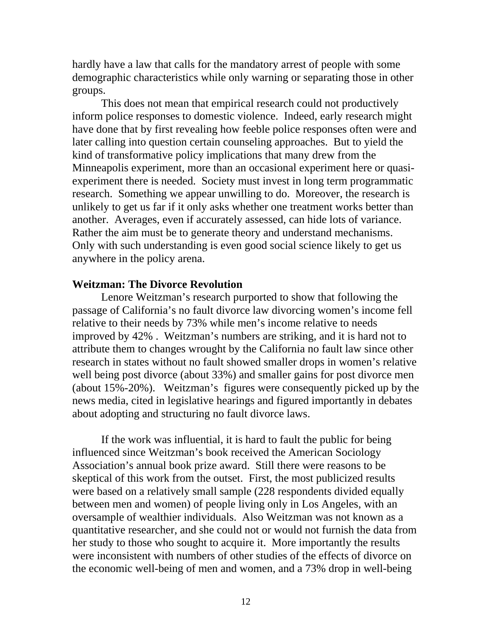hardly have a law that calls for the mandatory arrest of people with some demographic characteristics while only warning or separating those in other groups.

This does not mean that empirical research could not productively inform police responses to domestic violence. Indeed, early research might have done that by first revealing how feeble police responses often were and later calling into question certain counseling approaches. But to yield the kind of transformative policy implications that many drew from the Minneapolis experiment, more than an occasional experiment here or quasiexperiment there is needed. Society must invest in long term programmatic research. Something we appear unwilling to do. Moreover, the research is unlikely to get us far if it only asks whether one treatment works better than another. Averages, even if accurately assessed, can hide lots of variance. Rather the aim must be to generate theory and understand mechanisms. Only with such understanding is even good social science likely to get us anywhere in the policy arena.

## **Weitzman: The Divorce Revolution**

Lenore Weitzman's research purported to show that following the passage of California's no fault divorce law divorcing women's income fell relative to their needs by 73% while men's income relative to needs improved by 42% . Weitzman's numbers are striking, and it is hard not to attribute them to changes wrought by the California no fault law since other research in states without no fault showed smaller drops in women's relative well being post divorce (about 33%) and smaller gains for post divorce men (about 15%-20%). Weitzman's figures were consequently picked up by the news media, cited in legislative hearings and figured importantly in debates about adopting and structuring no fault divorce laws.

If the work was influential, it is hard to fault the public for being influenced since Weitzman's book received the American Sociology Association's annual book prize award. Still there were reasons to be skeptical of this work from the outset. First, the most publicized results were based on a relatively small sample (228 respondents divided equally between men and women) of people living only in Los Angeles, with an oversample of wealthier individuals. Also Weitzman was not known as a quantitative researcher, and she could not or would not furnish the data from her study to those who sought to acquire it. More importantly the results were inconsistent with numbers of other studies of the effects of divorce on the economic well-being of men and women, and a 73% drop in well-being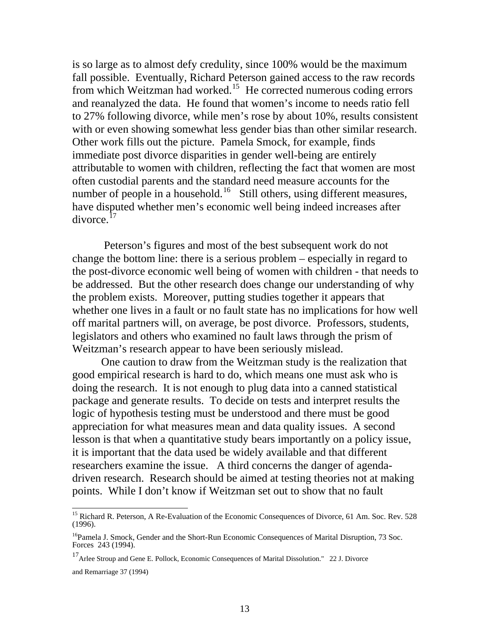is so large as to almost defy credulity, since 100% would be the maximum fall possible. Eventually, Richard Peterson gained access to the raw records from which Weitzman had worked.<sup>[15](#page-13-0)</sup> He corrected numerous coding errors and reanalyzed the data. He found that women's income to needs ratio fell to 27% following divorce, while men's rose by about 10%, results consistent with or even showing somewhat less gender bias than other similar research. Other work fills out the picture. Pamela Smock, for example, finds immediate post divorce disparities in gender well-being are entirely attributable to women with children, reflecting the fact that women are most often custodial parents and the standard need measure accounts for the number of people in a household.<sup>[16](#page-13-1)</sup> Still others, using different measures, have disputed whether men's economic well being indeed increases after divorce.[17](#page-13-2)

 Peterson's figures and most of the best subsequent work do not change the bottom line: there is a serious problem – especially in regard to the post-divorce economic well being of women with children - that needs to be addressed. But the other research does change our understanding of why the problem exists. Moreover, putting studies together it appears that whether one lives in a fault or no fault state has no implications for how well off marital partners will, on average, be post divorce. Professors, students, legislators and others who examined no fault laws through the prism of Weitzman's research appear to have been seriously mislead.

One caution to draw from the Weitzman study is the realization that good empirical research is hard to do, which means one must ask who is doing the research. It is not enough to plug data into a canned statistical package and generate results. To decide on tests and interpret results the logic of hypothesis testing must be understood and there must be good appreciation for what measures mean and data quality issues. A second lesson is that when a quantitative study bears importantly on a policy issue, it is important that the data used be widely available and that different researchers examine the issue. A third concerns the danger of agendadriven research. Research should be aimed at testing theories not at making points. While I don't know if Weitzman set out to show that no fault

<span id="page-13-0"></span><sup>&</sup>lt;sup>15</sup> Richard R. Peterson, A Re-Evaluation of the Economic Consequences of Divorce, 61 Am. Soc. Rev. 528 (1996).

<span id="page-13-1"></span><sup>&</sup>lt;sup>16</sup>Pamela J. Smock, Gender and the Short-Run Economic Consequences of Marital Disruption, 73 Soc. Forces 243 (1994).

<span id="page-13-2"></span><sup>17</sup> Arlee Stroup and Gene E. Pollock, Economic Consequences of Marital Dissolution." 22 J. Divorce and Remarriage 37 (1994)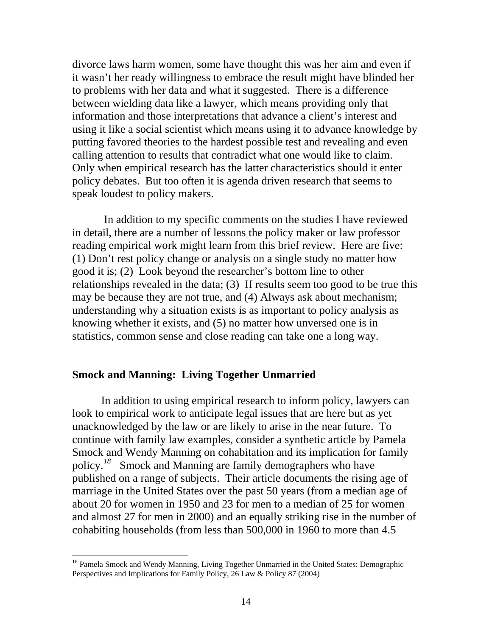divorce laws harm women, some have thought this was her aim and even if it wasn't her ready willingness to embrace the result might have blinded her to problems with her data and what it suggested. There is a difference between wielding data like a lawyer, which means providing only that information and those interpretations that advance a client's interest and using it like a social scientist which means using it to advance knowledge by putting favored theories to the hardest possible test and revealing and even calling attention to results that contradict what one would like to claim. Only when empirical research has the latter characteristics should it enter policy debates. But too often it is agenda driven research that seems to speak loudest to policy makers.

 In addition to my specific comments on the studies I have reviewed in detail, there are a number of lessons the policy maker or law professor reading empirical work might learn from this brief review. Here are five: (1) Don't rest policy change or analysis on a single study no matter how good it is; (2) Look beyond the researcher's bottom line to other relationships revealed in the data; (3) If results seem too good to be true this may be because they are not true, and (4) Always ask about mechanism; understanding why a situation exists is as important to policy analysis as knowing whether it exists, and (5) no matter how unversed one is in statistics, common sense and close reading can take one a long way.

## **Smock and Manning: Living Together Unmarried**

In addition to using empirical research to inform policy, lawyers can look to empirical work to anticipate legal issues that are here but as yet unacknowledged by the law or are likely to arise in the near future. To continue with family law examples, consider a synthetic article by Pamela Smock and Wendy Manning on cohabitation and its implication for family policy.*[18](#page-14-0)* Smock and Manning are family demographers who have published on a range of subjects. Their article documents the rising age of marriage in the United States over the past 50 years (from a median age of about 20 for women in 1950 and 23 for men to a median of 25 for women and almost 27 for men in 2000) and an equally striking rise in the number of cohabiting households (from less than 500,000 in 1960 to more than 4.5

<span id="page-14-0"></span><sup>&</sup>lt;sup>18</sup> Pamela Smock and Wendy Manning, Living Together Unmarried in the United States: Demographic Perspectives and Implications for Family Policy, 26 Law & Policy 87 (2004)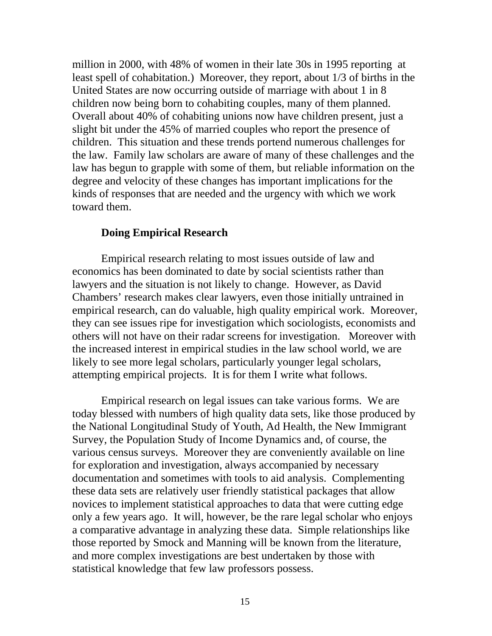million in 2000, with 48% of women in their late 30s in 1995 reporting at least spell of cohabitation.) Moreover, they report, about 1/3 of births in the United States are now occurring outside of marriage with about 1 in 8 children now being born to cohabiting couples, many of them planned. Overall about 40% of cohabiting unions now have children present, just a slight bit under the 45% of married couples who report the presence of children. This situation and these trends portend numerous challenges for the law. Family law scholars are aware of many of these challenges and the law has begun to grapple with some of them, but reliable information on the degree and velocity of these changes has important implications for the kinds of responses that are needed and the urgency with which we work toward them.

## **Doing Empirical Research**

Empirical research relating to most issues outside of law and economics has been dominated to date by social scientists rather than lawyers and the situation is not likely to change. However, as David Chambers' research makes clear lawyers, even those initially untrained in empirical research, can do valuable, high quality empirical work. Moreover, they can see issues ripe for investigation which sociologists, economists and others will not have on their radar screens for investigation. Moreover with the increased interest in empirical studies in the law school world, we are likely to see more legal scholars, particularly younger legal scholars, attempting empirical projects. It is for them I write what follows.

Empirical research on legal issues can take various forms. We are today blessed with numbers of high quality data sets, like those produced by the National Longitudinal Study of Youth, Ad Health, the New Immigrant Survey, the Population Study of Income Dynamics and, of course, the various census surveys. Moreover they are conveniently available on line for exploration and investigation, always accompanied by necessary documentation and sometimes with tools to aid analysis. Complementing these data sets are relatively user friendly statistical packages that allow novices to implement statistical approaches to data that were cutting edge only a few years ago. It will, however, be the rare legal scholar who enjoys a comparative advantage in analyzing these data. Simple relationships like those reported by Smock and Manning will be known from the literature, and more complex investigations are best undertaken by those with statistical knowledge that few law professors possess.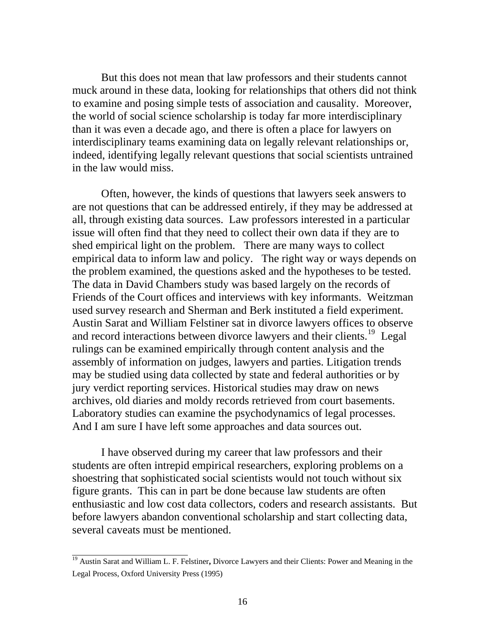But this does not mean that law professors and their students cannot muck around in these data, looking for relationships that others did not think to examine and posing simple tests of association and causality. Moreover, the world of social science scholarship is today far more interdisciplinary than it was even a decade ago, and there is often a place for lawyers on interdisciplinary teams examining data on legally relevant relationships or, indeed, identifying legally relevant questions that social scientists untrained in the law would miss.

Often, however, the kinds of questions that lawyers seek answers to are not questions that can be addressed entirely, if they may be addressed at all, through existing data sources. Law professors interested in a particular issue will often find that they need to collect their own data if they are to shed empirical light on the problem. There are many ways to collect empirical data to inform law and policy. The right way or ways depends on the problem examined, the questions asked and the hypotheses to be tested. The data in David Chambers study was based largely on the records of Friends of the Court offices and interviews with key informants. Weitzman used survey research and Sherman and Berk instituted a field experiment. Austin Sarat and William Felstiner sat in divorce lawyers offices to observe and record interactions between divorce lawyers and their clients.<sup>[19](#page-16-0)</sup> Legal rulings can be examined empirically through content analysis and the assembly of information on judges, lawyers and parties. Litigation trends may be studied using data collected by state and federal authorities or by jury verdict reporting services. Historical studies may draw on news archives, old diaries and moldy records retrieved from court basements. Laboratory studies can examine the psychodynamics of legal processes. And I am sure I have left some approaches and data sources out.

I have observed during my career that law professors and their students are often intrepid empirical researchers, exploring problems on a shoestring that sophisticated social scientists would not touch without six figure grants. This can in part be done because law students are often enthusiastic and low cost data collectors, coders and research assistants. But before lawyers abandon conventional scholarship and start collecting data, several caveats must be mentioned.

<span id="page-16-0"></span><sup>19</sup> Austin Sarat and William L. F. Felstiner**,** Divorce Lawyers and their Clients: Power and Meaning in the Legal Process, Oxford University Press (1995)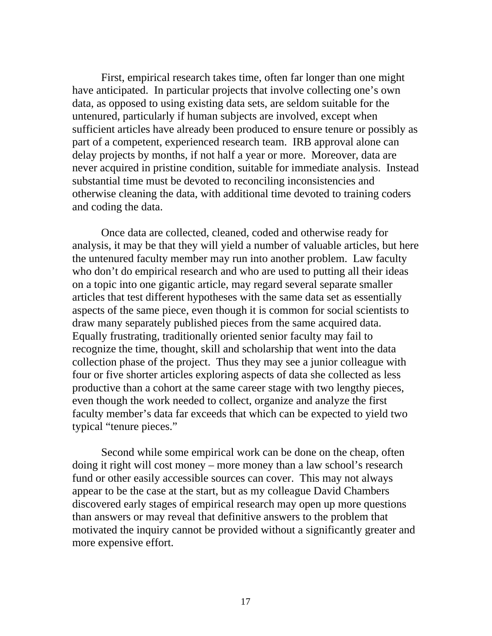First, empirical research takes time, often far longer than one might have anticipated. In particular projects that involve collecting one's own data, as opposed to using existing data sets, are seldom suitable for the untenured, particularly if human subjects are involved, except when sufficient articles have already been produced to ensure tenure or possibly as part of a competent, experienced research team. IRB approval alone can delay projects by months, if not half a year or more. Moreover, data are never acquired in pristine condition, suitable for immediate analysis. Instead substantial time must be devoted to reconciling inconsistencies and otherwise cleaning the data, with additional time devoted to training coders and coding the data.

Once data are collected, cleaned, coded and otherwise ready for analysis, it may be that they will yield a number of valuable articles, but here the untenured faculty member may run into another problem. Law faculty who don't do empirical research and who are used to putting all their ideas on a topic into one gigantic article, may regard several separate smaller articles that test different hypotheses with the same data set as essentially aspects of the same piece, even though it is common for social scientists to draw many separately published pieces from the same acquired data. Equally frustrating, traditionally oriented senior faculty may fail to recognize the time, thought, skill and scholarship that went into the data collection phase of the project. Thus they may see a junior colleague with four or five shorter articles exploring aspects of data she collected as less productive than a cohort at the same career stage with two lengthy pieces, even though the work needed to collect, organize and analyze the first faculty member's data far exceeds that which can be expected to yield two typical "tenure pieces."

Second while some empirical work can be done on the cheap, often doing it right will cost money – more money than a law school's research fund or other easily accessible sources can cover. This may not always appear to be the case at the start, but as my colleague David Chambers discovered early stages of empirical research may open up more questions than answers or may reveal that definitive answers to the problem that motivated the inquiry cannot be provided without a significantly greater and more expensive effort.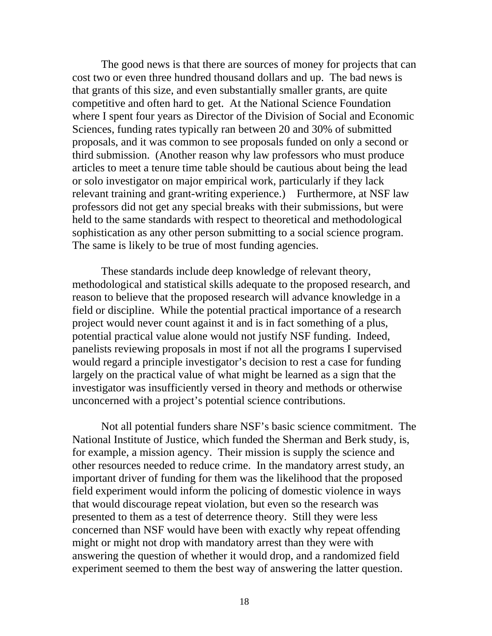The good news is that there are sources of money for projects that can cost two or even three hundred thousand dollars and up. The bad news is that grants of this size, and even substantially smaller grants, are quite competitive and often hard to get. At the National Science Foundation where I spent four years as Director of the Division of Social and Economic Sciences, funding rates typically ran between 20 and 30% of submitted proposals, and it was common to see proposals funded on only a second or third submission. (Another reason why law professors who must produce articles to meet a tenure time table should be cautious about being the lead or solo investigator on major empirical work, particularly if they lack relevant training and grant-writing experience.) Furthermore, at NSF law professors did not get any special breaks with their submissions, but were held to the same standards with respect to theoretical and methodological sophistication as any other person submitting to a social science program. The same is likely to be true of most funding agencies.

These standards include deep knowledge of relevant theory, methodological and statistical skills adequate to the proposed research, and reason to believe that the proposed research will advance knowledge in a field or discipline. While the potential practical importance of a research project would never count against it and is in fact something of a plus, potential practical value alone would not justify NSF funding. Indeed, panelists reviewing proposals in most if not all the programs I supervised would regard a principle investigator's decision to rest a case for funding largely on the practical value of what might be learned as a sign that the investigator was insufficiently versed in theory and methods or otherwise unconcerned with a project's potential science contributions.

Not all potential funders share NSF's basic science commitment. The National Institute of Justice, which funded the Sherman and Berk study, is, for example, a mission agency. Their mission is supply the science and other resources needed to reduce crime. In the mandatory arrest study, an important driver of funding for them was the likelihood that the proposed field experiment would inform the policing of domestic violence in ways that would discourage repeat violation, but even so the research was presented to them as a test of deterrence theory. Still they were less concerned than NSF would have been with exactly why repeat offending might or might not drop with mandatory arrest than they were with answering the question of whether it would drop, and a randomized field experiment seemed to them the best way of answering the latter question.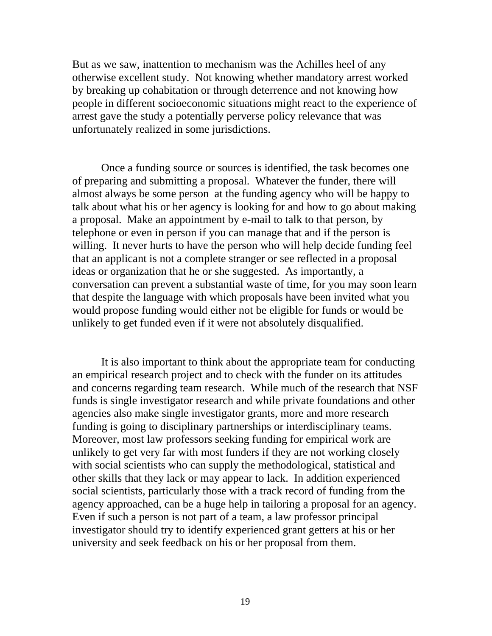But as we saw, inattention to mechanism was the Achilles heel of any otherwise excellent study. Not knowing whether mandatory arrest worked by breaking up cohabitation or through deterrence and not knowing how people in different socioeconomic situations might react to the experience of arrest gave the study a potentially perverse policy relevance that was unfortunately realized in some jurisdictions.

Once a funding source or sources is identified, the task becomes one of preparing and submitting a proposal. Whatever the funder, there will almost always be some person at the funding agency who will be happy to talk about what his or her agency is looking for and how to go about making a proposal. Make an appointment by e-mail to talk to that person, by telephone or even in person if you can manage that and if the person is willing. It never hurts to have the person who will help decide funding feel that an applicant is not a complete stranger or see reflected in a proposal ideas or organization that he or she suggested. As importantly, a conversation can prevent a substantial waste of time, for you may soon learn that despite the language with which proposals have been invited what you would propose funding would either not be eligible for funds or would be unlikely to get funded even if it were not absolutely disqualified.

It is also important to think about the appropriate team for conducting an empirical research project and to check with the funder on its attitudes and concerns regarding team research. While much of the research that NSF funds is single investigator research and while private foundations and other agencies also make single investigator grants, more and more research funding is going to disciplinary partnerships or interdisciplinary teams. Moreover, most law professors seeking funding for empirical work are unlikely to get very far with most funders if they are not working closely with social scientists who can supply the methodological, statistical and other skills that they lack or may appear to lack. In addition experienced social scientists, particularly those with a track record of funding from the agency approached, can be a huge help in tailoring a proposal for an agency. Even if such a person is not part of a team, a law professor principal investigator should try to identify experienced grant getters at his or her university and seek feedback on his or her proposal from them.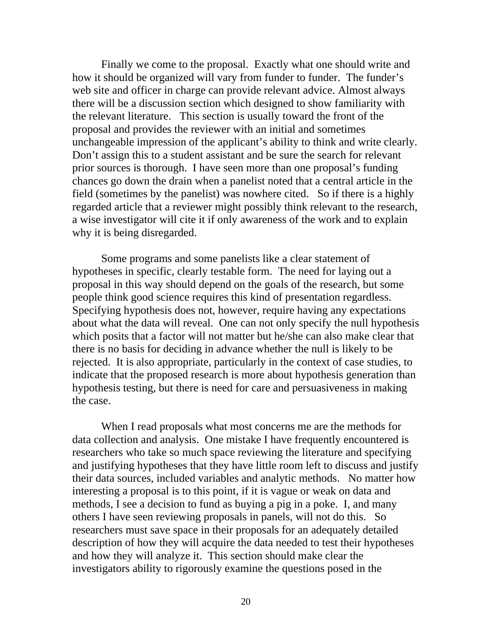Finally we come to the proposal. Exactly what one should write and how it should be organized will vary from funder to funder. The funder's web site and officer in charge can provide relevant advice. Almost always there will be a discussion section which designed to show familiarity with the relevant literature. This section is usually toward the front of the proposal and provides the reviewer with an initial and sometimes unchangeable impression of the applicant's ability to think and write clearly. Don't assign this to a student assistant and be sure the search for relevant prior sources is thorough. I have seen more than one proposal's funding chances go down the drain when a panelist noted that a central article in the field (sometimes by the panelist) was nowhere cited. So if there is a highly regarded article that a reviewer might possibly think relevant to the research, a wise investigator will cite it if only awareness of the work and to explain why it is being disregarded.

Some programs and some panelists like a clear statement of hypotheses in specific, clearly testable form. The need for laying out a proposal in this way should depend on the goals of the research, but some people think good science requires this kind of presentation regardless. Specifying hypothesis does not, however, require having any expectations about what the data will reveal. One can not only specify the null hypothesis which posits that a factor will not matter but he/she can also make clear that there is no basis for deciding in advance whether the null is likely to be rejected. It is also appropriate, particularly in the context of case studies, to indicate that the proposed research is more about hypothesis generation than hypothesis testing, but there is need for care and persuasiveness in making the case.

When I read proposals what most concerns me are the methods for data collection and analysis. One mistake I have frequently encountered is researchers who take so much space reviewing the literature and specifying and justifying hypotheses that they have little room left to discuss and justify their data sources, included variables and analytic methods. No matter how interesting a proposal is to this point, if it is vague or weak on data and methods, I see a decision to fund as buying a pig in a poke. I, and many others I have seen reviewing proposals in panels, will not do this. So researchers must save space in their proposals for an adequately detailed description of how they will acquire the data needed to test their hypotheses and how they will analyze it. This section should make clear the investigators ability to rigorously examine the questions posed in the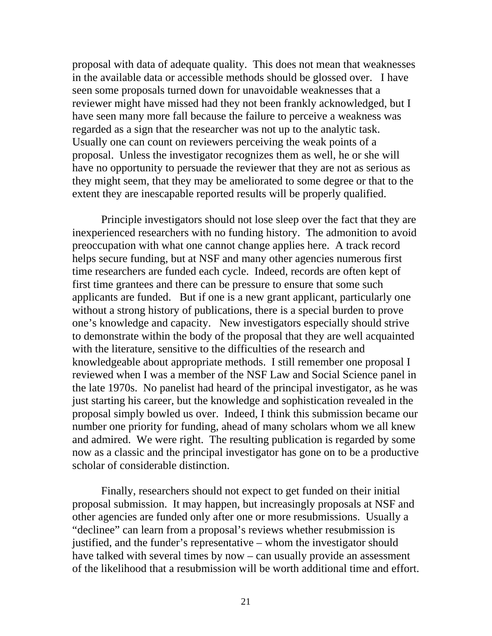proposal with data of adequate quality. This does not mean that weaknesses in the available data or accessible methods should be glossed over. I have seen some proposals turned down for unavoidable weaknesses that a reviewer might have missed had they not been frankly acknowledged, but I have seen many more fall because the failure to perceive a weakness was regarded as a sign that the researcher was not up to the analytic task. Usually one can count on reviewers perceiving the weak points of a proposal. Unless the investigator recognizes them as well, he or she will have no opportunity to persuade the reviewer that they are not as serious as they might seem, that they may be ameliorated to some degree or that to the extent they are inescapable reported results will be properly qualified.

Principle investigators should not lose sleep over the fact that they are inexperienced researchers with no funding history. The admonition to avoid preoccupation with what one cannot change applies here. A track record helps secure funding, but at NSF and many other agencies numerous first time researchers are funded each cycle. Indeed, records are often kept of first time grantees and there can be pressure to ensure that some such applicants are funded. But if one is a new grant applicant, particularly one without a strong history of publications, there is a special burden to prove one's knowledge and capacity. New investigators especially should strive to demonstrate within the body of the proposal that they are well acquainted with the literature, sensitive to the difficulties of the research and knowledgeable about appropriate methods. I still remember one proposal I reviewed when I was a member of the NSF Law and Social Science panel in the late 1970s. No panelist had heard of the principal investigator, as he was just starting his career, but the knowledge and sophistication revealed in the proposal simply bowled us over. Indeed, I think this submission became our number one priority for funding, ahead of many scholars whom we all knew and admired. We were right. The resulting publication is regarded by some now as a classic and the principal investigator has gone on to be a productive scholar of considerable distinction.

Finally, researchers should not expect to get funded on their initial proposal submission. It may happen, but increasingly proposals at NSF and other agencies are funded only after one or more resubmissions. Usually a "declinee" can learn from a proposal's reviews whether resubmission is justified, and the funder's representative – whom the investigator should have talked with several times by now – can usually provide an assessment of the likelihood that a resubmission will be worth additional time and effort.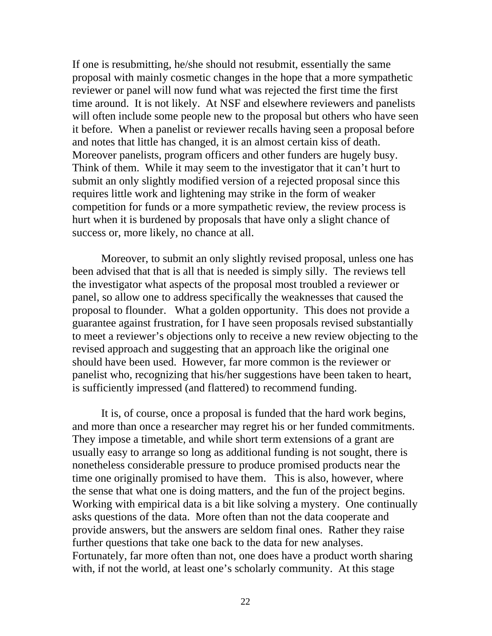If one is resubmitting, he/she should not resubmit, essentially the same proposal with mainly cosmetic changes in the hope that a more sympathetic reviewer or panel will now fund what was rejected the first time the first time around. It is not likely. At NSF and elsewhere reviewers and panelists will often include some people new to the proposal but others who have seen it before. When a panelist or reviewer recalls having seen a proposal before and notes that little has changed, it is an almost certain kiss of death. Moreover panelists, program officers and other funders are hugely busy. Think of them. While it may seem to the investigator that it can't hurt to submit an only slightly modified version of a rejected proposal since this requires little work and lightening may strike in the form of weaker competition for funds or a more sympathetic review, the review process is hurt when it is burdened by proposals that have only a slight chance of success or, more likely, no chance at all.

Moreover, to submit an only slightly revised proposal, unless one has been advised that that is all that is needed is simply silly. The reviews tell the investigator what aspects of the proposal most troubled a reviewer or panel, so allow one to address specifically the weaknesses that caused the proposal to flounder. What a golden opportunity. This does not provide a guarantee against frustration, for I have seen proposals revised substantially to meet a reviewer's objections only to receive a new review objecting to the revised approach and suggesting that an approach like the original one should have been used. However, far more common is the reviewer or panelist who, recognizing that his/her suggestions have been taken to heart, is sufficiently impressed (and flattered) to recommend funding.

It is, of course, once a proposal is funded that the hard work begins, and more than once a researcher may regret his or her funded commitments. They impose a timetable, and while short term extensions of a grant are usually easy to arrange so long as additional funding is not sought, there is nonetheless considerable pressure to produce promised products near the time one originally promised to have them. This is also, however, where the sense that what one is doing matters, and the fun of the project begins. Working with empirical data is a bit like solving a mystery. One continually asks questions of the data. More often than not the data cooperate and provide answers, but the answers are seldom final ones. Rather they raise further questions that take one back to the data for new analyses. Fortunately, far more often than not, one does have a product worth sharing with, if not the world, at least one's scholarly community. At this stage